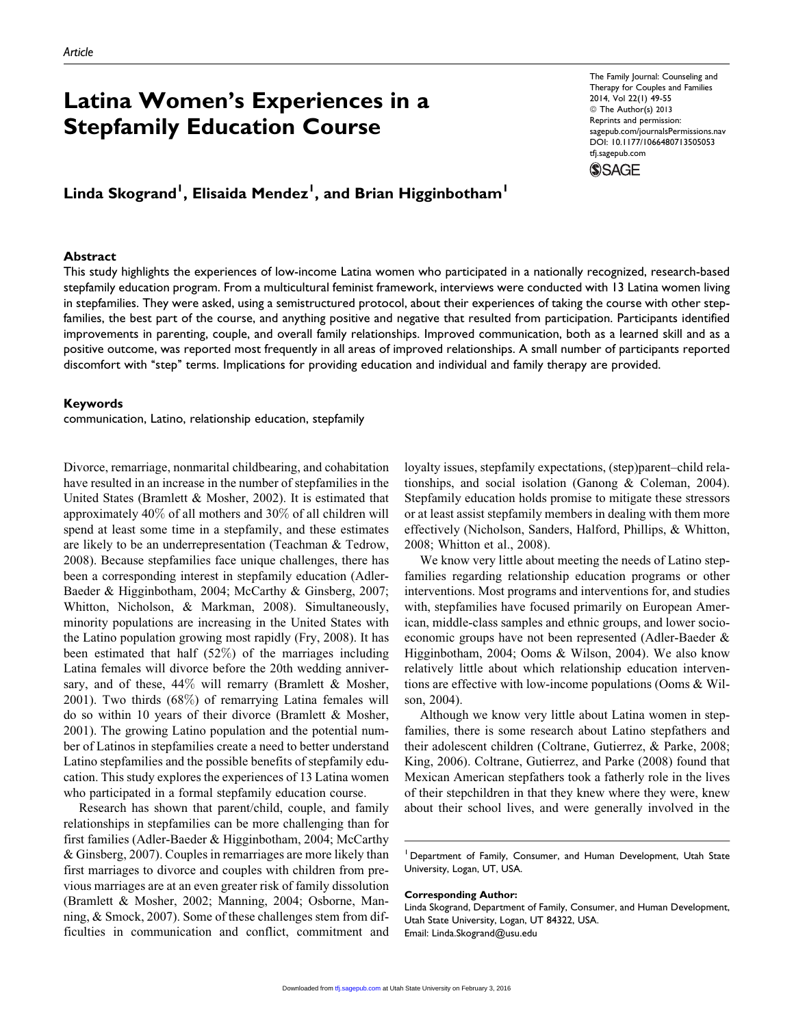# Latina Women's Experiences in a Stepfamily Education Course

The Family Journal: Counseling and Therapy for Couples and Families 2014, Vol 22(1) 49-55 © The Author(s) 2013 Reprints and permission: [sagepub.com/journalsPermissions.nav](http://www.sagepub.com/journalsPermissions.nav) DOI: 10.1177/1066480713505053 [tfj.sagepub.com](http://tfj.sagepub.com)

**SSAGE** 

## Linda Skogrand<sup>1</sup>, Elisaida Mendez<sup>1</sup>, and Brian Higginbotham<sup>1</sup>

#### Abstract

This study highlights the experiences of low-income Latina women who participated in a nationally recognized, research-based stepfamily education program. From a multicultural feminist framework, interviews were conducted with 13 Latina women living in stepfamilies. They were asked, using a semistructured protocol, about their experiences of taking the course with other stepfamilies, the best part of the course, and anything positive and negative that resulted from participation. Participants identified improvements in parenting, couple, and overall family relationships. Improved communication, both as a learned skill and as a positive outcome, was reported most frequently in all areas of improved relationships. A small number of participants reported discomfort with ''step'' terms. Implications for providing education and individual and family therapy are provided.

#### Keywords

communication, Latino, relationship education, stepfamily

Divorce, remarriage, nonmarital childbearing, and cohabitation have resulted in an increase in the number of stepfamilies in the United States (Bramlett & Mosher, 2002). It is estimated that approximately 40% of all mothers and 30% of all children will spend at least some time in a stepfamily, and these estimates are likely to be an underrepresentation (Teachman & Tedrow, 2008). Because stepfamilies face unique challenges, there has been a corresponding interest in stepfamily education (Adler-Baeder & Higginbotham, 2004; McCarthy & Ginsberg, 2007; Whitton, Nicholson, & Markman, 2008). Simultaneously, minority populations are increasing in the United States with the Latino population growing most rapidly (Fry, 2008). It has been estimated that half (52%) of the marriages including Latina females will divorce before the 20th wedding anniversary, and of these, 44% will remarry (Bramlett & Mosher, 2001). Two thirds (68%) of remarrying Latina females will do so within 10 years of their divorce (Bramlett & Mosher, 2001). The growing Latino population and the potential number of Latinos in stepfamilies create a need to better understand Latino stepfamilies and the possible benefits of stepfamily education. This study explores the experiences of 13 Latina women who participated in a formal stepfamily education course.

Research has shown that parent/child, couple, and family relationships in stepfamilies can be more challenging than for first families (Adler-Baeder & Higginbotham, 2004; McCarthy & Ginsberg, 2007). Couples in remarriages are more likely than first marriages to divorce and couples with children from previous marriages are at an even greater risk of family dissolution (Bramlett & Mosher, 2002; Manning, 2004; Osborne, Manning, & Smock, 2007). Some of these challenges stem from difficulties in communication and conflict, commitment and

loyalty issues, stepfamily expectations, (step)parent–child relationships, and social isolation (Ganong & Coleman, 2004). Stepfamily education holds promise to mitigate these stressors or at least assist stepfamily members in dealing with them more effectively (Nicholson, Sanders, Halford, Phillips, & Whitton, 2008; Whitton et al., 2008).

We know very little about meeting the needs of Latino stepfamilies regarding relationship education programs or other interventions. Most programs and interventions for, and studies with, stepfamilies have focused primarily on European American, middle-class samples and ethnic groups, and lower socioeconomic groups have not been represented (Adler-Baeder & Higginbotham, 2004; Ooms & Wilson, 2004). We also know relatively little about which relationship education interventions are effective with low-income populations (Ooms & Wilson, 2004).

Although we know very little about Latina women in stepfamilies, there is some research about Latino stepfathers and their adolescent children (Coltrane, Gutierrez, & Parke, 2008; King, 2006). Coltrane, Gutierrez, and Parke (2008) found that Mexican American stepfathers took a fatherly role in the lives of their stepchildren in that they knew where they were, knew about their school lives, and were generally involved in the

<sup>1</sup> Department of Family, Consumer, and Human Development, Utah State University, Logan, UT, USA.

#### Corresponding Author:

Linda Skogrand, Department of Family, Consumer, and Human Development, Utah State University, Logan, UT 84322, USA. Email: Linda.Skogrand@usu.edu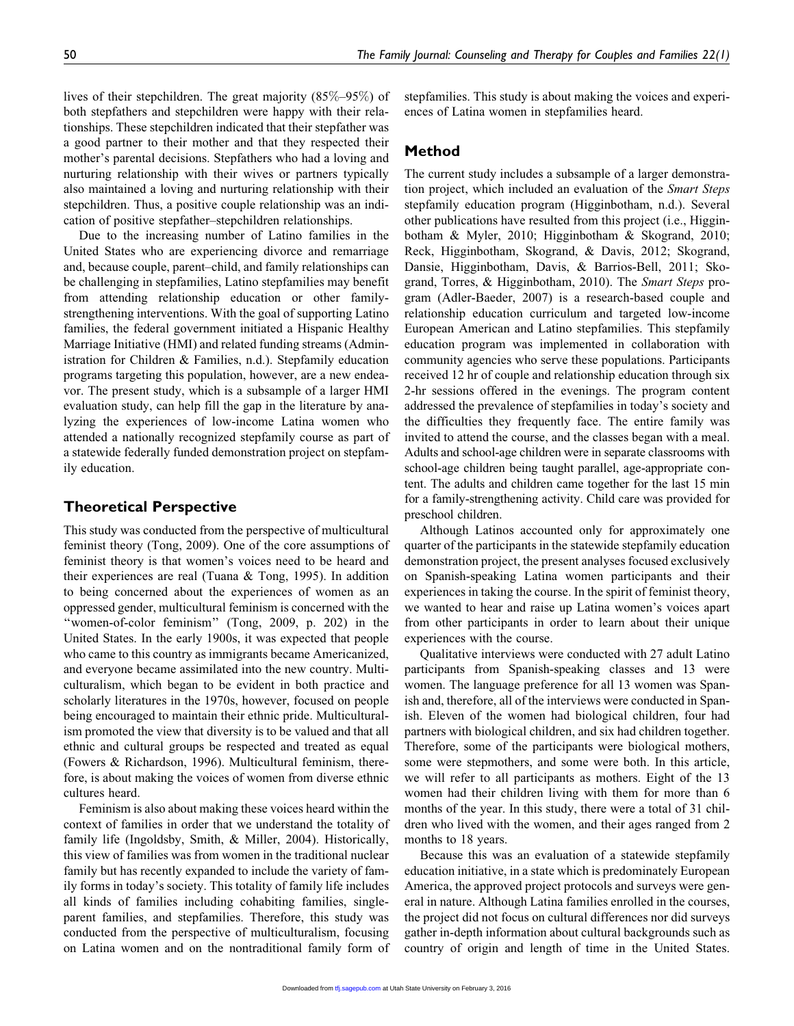lives of their stepchildren. The great majority (85%–95%) of both stepfathers and stepchildren were happy with their relationships. These stepchildren indicated that their stepfather was a good partner to their mother and that they respected their mother's parental decisions. Stepfathers who had a loving and nurturing relationship with their wives or partners typically also maintained a loving and nurturing relationship with their stepchildren. Thus, a positive couple relationship was an indication of positive stepfather–stepchildren relationships.

Due to the increasing number of Latino families in the United States who are experiencing divorce and remarriage and, because couple, parent–child, and family relationships can be challenging in stepfamilies, Latino stepfamilies may benefit from attending relationship education or other familystrengthening interventions. With the goal of supporting Latino families, the federal government initiated a Hispanic Healthy Marriage Initiative (HMI) and related funding streams (Administration for Children & Families, n.d.). Stepfamily education programs targeting this population, however, are a new endeavor. The present study, which is a subsample of a larger HMI evaluation study, can help fill the gap in the literature by analyzing the experiences of low-income Latina women who attended a nationally recognized stepfamily course as part of a statewide federally funded demonstration project on stepfamily education.

## Theoretical Perspective

This study was conducted from the perspective of multicultural feminist theory (Tong, 2009). One of the core assumptions of feminist theory is that women's voices need to be heard and their experiences are real (Tuana & Tong, 1995). In addition to being concerned about the experiences of women as an oppressed gender, multicultural feminism is concerned with the ''women-of-color feminism'' (Tong, 2009, p. 202) in the United States. In the early 1900s, it was expected that people who came to this country as immigrants became Americanized, and everyone became assimilated into the new country. Multiculturalism, which began to be evident in both practice and scholarly literatures in the 1970s, however, focused on people being encouraged to maintain their ethnic pride. Multiculturalism promoted the view that diversity is to be valued and that all ethnic and cultural groups be respected and treated as equal (Fowers & Richardson, 1996). Multicultural feminism, therefore, is about making the voices of women from diverse ethnic cultures heard.

Feminism is also about making these voices heard within the context of families in order that we understand the totality of family life (Ingoldsby, Smith, & Miller, 2004). Historically, this view of families was from women in the traditional nuclear family but has recently expanded to include the variety of family forms in today's society. This totality of family life includes all kinds of families including cohabiting families, singleparent families, and stepfamilies. Therefore, this study was conducted from the perspective of multiculturalism, focusing on Latina women and on the nontraditional family form of stepfamilies. This study is about making the voices and experiences of Latina women in stepfamilies heard.

## Method

The current study includes a subsample of a larger demonstration project, which included an evaluation of the Smart Steps stepfamily education program (Higginbotham, n.d.). Several other publications have resulted from this project (i.e., Higginbotham & Myler, 2010; Higginbotham & Skogrand, 2010; Reck, Higginbotham, Skogrand, & Davis, 2012; Skogrand, Dansie, Higginbotham, Davis, & Barrios-Bell, 2011; Skogrand, Torres, & Higginbotham, 2010). The *Smart Steps* program (Adler-Baeder, 2007) is a research-based couple and relationship education curriculum and targeted low-income European American and Latino stepfamilies. This stepfamily education program was implemented in collaboration with community agencies who serve these populations. Participants received 12 hr of couple and relationship education through six 2-hr sessions offered in the evenings. The program content addressed the prevalence of stepfamilies in today's society and the difficulties they frequently face. The entire family was invited to attend the course, and the classes began with a meal. Adults and school-age children were in separate classrooms with school-age children being taught parallel, age-appropriate content. The adults and children came together for the last 15 min for a family-strengthening activity. Child care was provided for preschool children.

Although Latinos accounted only for approximately one quarter of the participants in the statewide stepfamily education demonstration project, the present analyses focused exclusively on Spanish-speaking Latina women participants and their experiences in taking the course. In the spirit of feminist theory, we wanted to hear and raise up Latina women's voices apart from other participants in order to learn about their unique experiences with the course.

Qualitative interviews were conducted with 27 adult Latino participants from Spanish-speaking classes and 13 were women. The language preference for all 13 women was Spanish and, therefore, all of the interviews were conducted in Spanish. Eleven of the women had biological children, four had partners with biological children, and six had children together. Therefore, some of the participants were biological mothers, some were stepmothers, and some were both. In this article, we will refer to all participants as mothers. Eight of the 13 women had their children living with them for more than 6 months of the year. In this study, there were a total of 31 children who lived with the women, and their ages ranged from 2 months to 18 years.

Because this was an evaluation of a statewide stepfamily education initiative, in a state which is predominately European America, the approved project protocols and surveys were general in nature. Although Latina families enrolled in the courses, the project did not focus on cultural differences nor did surveys gather in-depth information about cultural backgrounds such as country of origin and length of time in the United States.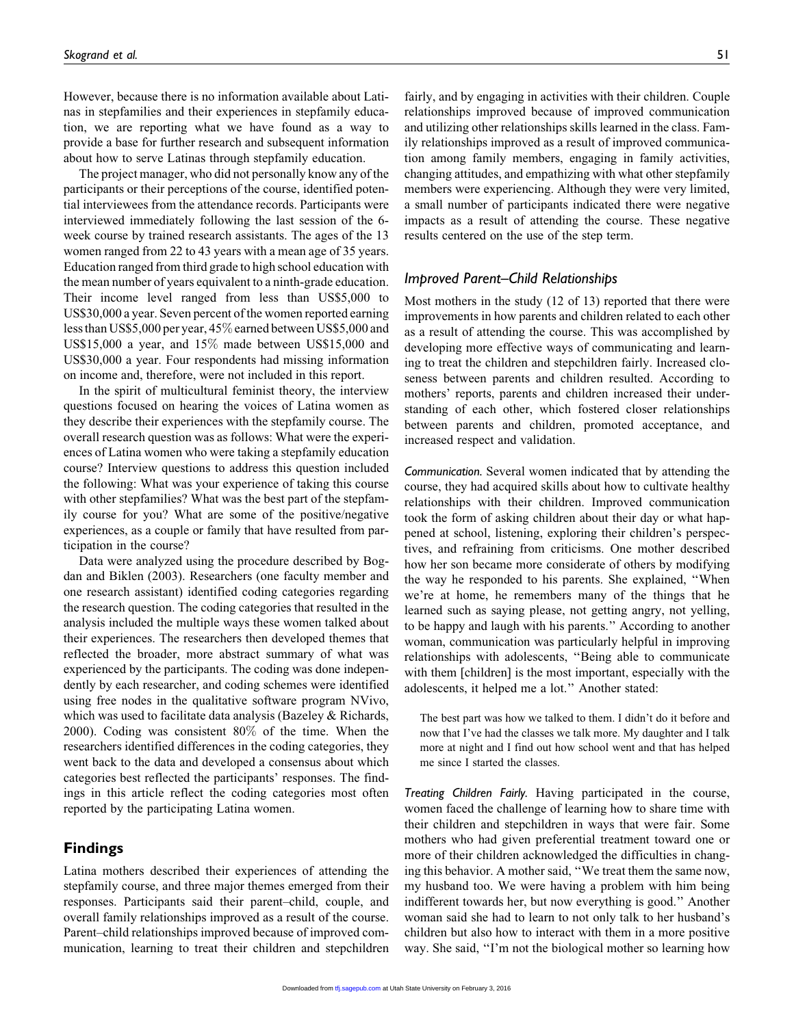However, because there is no information available about Latinas in stepfamilies and their experiences in stepfamily education, we are reporting what we have found as a way to provide a base for further research and subsequent information about how to serve Latinas through stepfamily education.

The project manager, who did not personally know any of the participants or their perceptions of the course, identified potential interviewees from the attendance records. Participants were interviewed immediately following the last session of the 6 week course by trained research assistants. The ages of the 13 women ranged from 22 to 43 years with a mean age of 35 years. Education ranged from third grade to high school education with the mean number of years equivalent to a ninth-grade education. Their income level ranged from less than US\$5,000 to US\$30,000 a year. Seven percent of the women reported earning less than US\$5,000 per year, 45% earned between US\$5,000 and US\$15,000 a year, and 15% made between US\$15,000 and US\$30,000 a year. Four respondents had missing information on income and, therefore, were not included in this report.

In the spirit of multicultural feminist theory, the interview questions focused on hearing the voices of Latina women as they describe their experiences with the stepfamily course. The overall research question was as follows: What were the experiences of Latina women who were taking a stepfamily education course? Interview questions to address this question included the following: What was your experience of taking this course with other stepfamilies? What was the best part of the stepfamily course for you? What are some of the positive/negative experiences, as a couple or family that have resulted from participation in the course?

Data were analyzed using the procedure described by Bogdan and Biklen (2003). Researchers (one faculty member and one research assistant) identified coding categories regarding the research question. The coding categories that resulted in the analysis included the multiple ways these women talked about their experiences. The researchers then developed themes that reflected the broader, more abstract summary of what was experienced by the participants. The coding was done independently by each researcher, and coding schemes were identified using free nodes in the qualitative software program NVivo, which was used to facilitate data analysis (Bazeley & Richards, 2000). Coding was consistent 80% of the time. When the researchers identified differences in the coding categories, they went back to the data and developed a consensus about which categories best reflected the participants' responses. The findings in this article reflect the coding categories most often reported by the participating Latina women.

## Findings

Latina mothers described their experiences of attending the stepfamily course, and three major themes emerged from their responses. Participants said their parent–child, couple, and overall family relationships improved as a result of the course. Parent–child relationships improved because of improved communication, learning to treat their children and stepchildren fairly, and by engaging in activities with their children. Couple relationships improved because of improved communication and utilizing other relationships skills learned in the class. Family relationships improved as a result of improved communication among family members, engaging in family activities, changing attitudes, and empathizing with what other stepfamily members were experiencing. Although they were very limited, a small number of participants indicated there were negative impacts as a result of attending the course. These negative results centered on the use of the step term.

## Improved Parent–Child Relationships

Most mothers in the study (12 of 13) reported that there were improvements in how parents and children related to each other as a result of attending the course. This was accomplished by developing more effective ways of communicating and learning to treat the children and stepchildren fairly. Increased closeness between parents and children resulted. According to mothers' reports, parents and children increased their understanding of each other, which fostered closer relationships between parents and children, promoted acceptance, and increased respect and validation.

Communication. Several women indicated that by attending the course, they had acquired skills about how to cultivate healthy relationships with their children. Improved communication took the form of asking children about their day or what happened at school, listening, exploring their children's perspectives, and refraining from criticisms. One mother described how her son became more considerate of others by modifying the way he responded to his parents. She explained, ''When we're at home, he remembers many of the things that he learned such as saying please, not getting angry, not yelling, to be happy and laugh with his parents.'' According to another woman, communication was particularly helpful in improving relationships with adolescents, ''Being able to communicate with them [children] is the most important, especially with the adolescents, it helped me a lot.'' Another stated:

The best part was how we talked to them. I didn't do it before and now that I've had the classes we talk more. My daughter and I talk more at night and I find out how school went and that has helped me since I started the classes.

Treating Children Fairly. Having participated in the course, women faced the challenge of learning how to share time with their children and stepchildren in ways that were fair. Some mothers who had given preferential treatment toward one or more of their children acknowledged the difficulties in changing this behavior. A mother said, ''We treat them the same now, my husband too. We were having a problem with him being indifferent towards her, but now everything is good.'' Another woman said she had to learn to not only talk to her husband's children but also how to interact with them in a more positive way. She said, ''I'm not the biological mother so learning how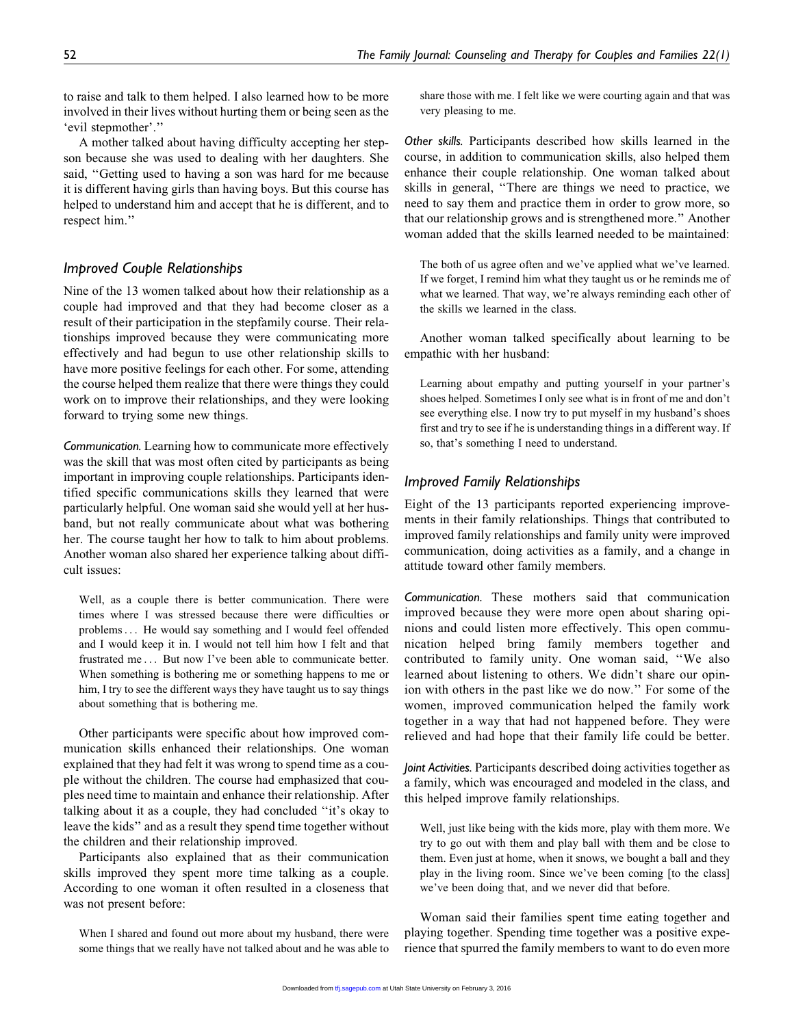to raise and talk to them helped. I also learned how to be more involved in their lives without hurting them or being seen as the 'evil stepmother'.''

A mother talked about having difficulty accepting her stepson because she was used to dealing with her daughters. She said, ''Getting used to having a son was hard for me because it is different having girls than having boys. But this course has helped to understand him and accept that he is different, and to respect him.''

## Improved Couple Relationships

Nine of the 13 women talked about how their relationship as a couple had improved and that they had become closer as a result of their participation in the stepfamily course. Their relationships improved because they were communicating more effectively and had begun to use other relationship skills to have more positive feelings for each other. For some, attending the course helped them realize that there were things they could work on to improve their relationships, and they were looking forward to trying some new things.

Communication. Learning how to communicate more effectively was the skill that was most often cited by participants as being important in improving couple relationships. Participants identified specific communications skills they learned that were particularly helpful. One woman said she would yell at her husband, but not really communicate about what was bothering her. The course taught her how to talk to him about problems. Another woman also shared her experience talking about difficult issues:

Well, as a couple there is better communication. There were times where I was stressed because there were difficulties or problems... He would say something and I would feel offended and I would keep it in. I would not tell him how I felt and that frustrated me ... But now I've been able to communicate better. When something is bothering me or something happens to me or him, I try to see the different ways they have taught us to say things about something that is bothering me.

Other participants were specific about how improved communication skills enhanced their relationships. One woman explained that they had felt it was wrong to spend time as a couple without the children. The course had emphasized that couples need time to maintain and enhance their relationship. After talking about it as a couple, they had concluded ''it's okay to leave the kids'' and as a result they spend time together without the children and their relationship improved.

Participants also explained that as their communication skills improved they spent more time talking as a couple. According to one woman it often resulted in a closeness that was not present before:

When I shared and found out more about my husband, there were some things that we really have not talked about and he was able to share those with me. I felt like we were courting again and that was very pleasing to me.

Other skills. Participants described how skills learned in the course, in addition to communication skills, also helped them enhance their couple relationship. One woman talked about skills in general, ''There are things we need to practice, we need to say them and practice them in order to grow more, so that our relationship grows and is strengthened more.'' Another woman added that the skills learned needed to be maintained:

The both of us agree often and we've applied what we've learned. If we forget, I remind him what they taught us or he reminds me of what we learned. That way, we're always reminding each other of the skills we learned in the class.

Another woman talked specifically about learning to be empathic with her husband:

Learning about empathy and putting yourself in your partner's shoes helped. Sometimes I only see what is in front of me and don't see everything else. I now try to put myself in my husband's shoes first and try to see if he is understanding things in a different way. If so, that's something I need to understand.

## Improved Family Relationships

Eight of the 13 participants reported experiencing improvements in their family relationships. Things that contributed to improved family relationships and family unity were improved communication, doing activities as a family, and a change in attitude toward other family members.

Communication. These mothers said that communication improved because they were more open about sharing opinions and could listen more effectively. This open communication helped bring family members together and contributed to family unity. One woman said, ''We also learned about listening to others. We didn't share our opinion with others in the past like we do now.'' For some of the women, improved communication helped the family work together in a way that had not happened before. They were relieved and had hope that their family life could be better.

Joint Activities. Participants described doing activities together as a family, which was encouraged and modeled in the class, and this helped improve family relationships.

Well, just like being with the kids more, play with them more. We try to go out with them and play ball with them and be close to them. Even just at home, when it snows, we bought a ball and they play in the living room. Since we've been coming [to the class] we've been doing that, and we never did that before.

Woman said their families spent time eating together and playing together. Spending time together was a positive experience that spurred the family members to want to do even more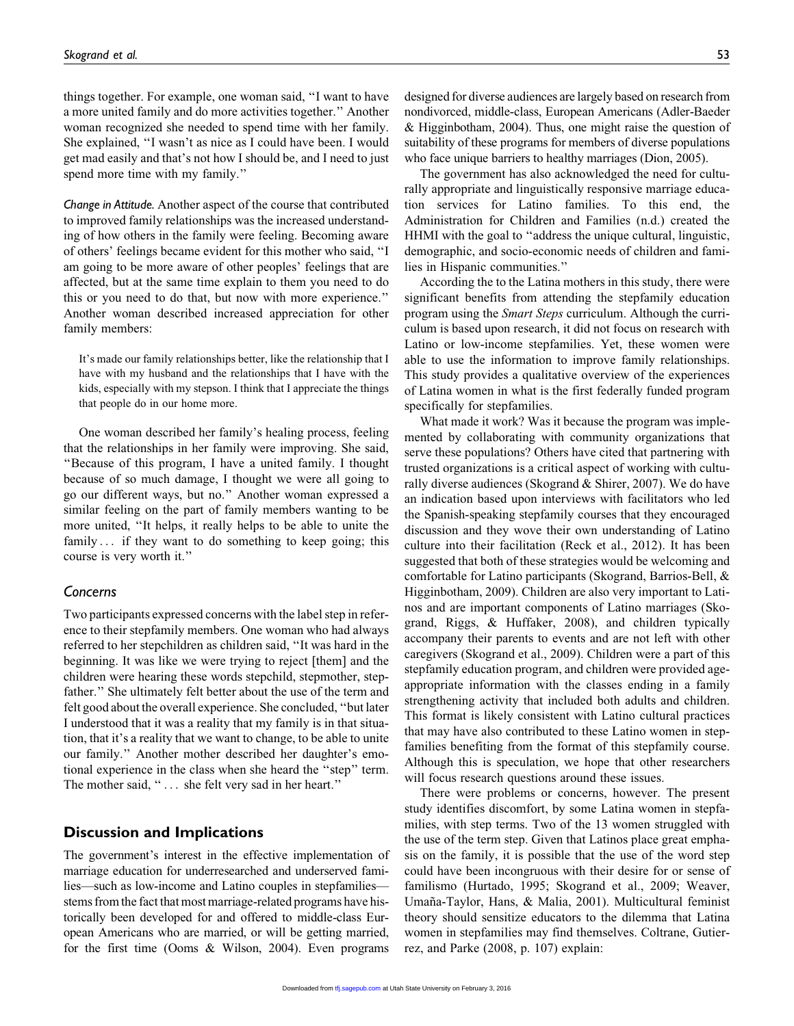things together. For example, one woman said, ''I want to have a more united family and do more activities together.'' Another woman recognized she needed to spend time with her family. She explained, ''I wasn't as nice as I could have been. I would get mad easily and that's not how I should be, and I need to just spend more time with my family.''

Change in Attitude. Another aspect of the course that contributed to improved family relationships was the increased understanding of how others in the family were feeling. Becoming aware of others' feelings became evident for this mother who said, ''I am going to be more aware of other peoples' feelings that are affected, but at the same time explain to them you need to do this or you need to do that, but now with more experience.'' Another woman described increased appreciation for other family members:

It's made our family relationships better, like the relationship that I have with my husband and the relationships that I have with the kids, especially with my stepson. I think that I appreciate the things that people do in our home more.

One woman described her family's healing process, feeling that the relationships in her family were improving. She said, ''Because of this program, I have a united family. I thought because of so much damage, I thought we were all going to go our different ways, but no.'' Another woman expressed a similar feeling on the part of family members wanting to be more united, ''It helps, it really helps to be able to unite the family ... if they want to do something to keep going; this course is very worth it.''

### Concerns

Two participants expressed concerns with the label step in reference to their stepfamily members. One woman who had always referred to her stepchildren as children said, ''It was hard in the beginning. It was like we were trying to reject [them] and the children were hearing these words stepchild, stepmother, stepfather.'' She ultimately felt better about the use of the term and felt good about the overall experience. She concluded, ''but later I understood that it was a reality that my family is in that situation, that it's a reality that we want to change, to be able to unite our family.'' Another mother described her daughter's emotional experience in the class when she heard the ''step'' term. The mother said, '' ... she felt very sad in her heart.''

## Discussion and Implications

The government's interest in the effective implementation of marriage education for underresearched and underserved families—such as low-income and Latino couples in stepfamilies stems from the fact that most marriage-related programs have historically been developed for and offered to middle-class European Americans who are married, or will be getting married, for the first time (Ooms & Wilson, 2004). Even programs

designed for diverse audiences are largely based on research from nondivorced, middle-class, European Americans (Adler-Baeder & Higginbotham, 2004). Thus, one might raise the question of suitability of these programs for members of diverse populations who face unique barriers to healthy marriages (Dion, 2005).

The government has also acknowledged the need for culturally appropriate and linguistically responsive marriage education services for Latino families. To this end, the Administration for Children and Families (n.d.) created the HHMI with the goal to ''address the unique cultural, linguistic, demographic, and socio-economic needs of children and families in Hispanic communities.''

According the to the Latina mothers in this study, there were significant benefits from attending the stepfamily education program using the *Smart Steps* curriculum. Although the curriculum is based upon research, it did not focus on research with Latino or low-income stepfamilies. Yet, these women were able to use the information to improve family relationships. This study provides a qualitative overview of the experiences of Latina women in what is the first federally funded program specifically for stepfamilies.

What made it work? Was it because the program was implemented by collaborating with community organizations that serve these populations? Others have cited that partnering with trusted organizations is a critical aspect of working with culturally diverse audiences (Skogrand & Shirer, 2007). We do have an indication based upon interviews with facilitators who led the Spanish-speaking stepfamily courses that they encouraged discussion and they wove their own understanding of Latino culture into their facilitation (Reck et al., 2012). It has been suggested that both of these strategies would be welcoming and comfortable for Latino participants (Skogrand, Barrios-Bell, & Higginbotham, 2009). Children are also very important to Latinos and are important components of Latino marriages (Skogrand, Riggs, & Huffaker, 2008), and children typically accompany their parents to events and are not left with other caregivers (Skogrand et al., 2009). Children were a part of this stepfamily education program, and children were provided ageappropriate information with the classes ending in a family strengthening activity that included both adults and children. This format is likely consistent with Latino cultural practices that may have also contributed to these Latino women in stepfamilies benefiting from the format of this stepfamily course. Although this is speculation, we hope that other researchers will focus research questions around these issues.

There were problems or concerns, however. The present study identifies discomfort, by some Latina women in stepfamilies, with step terms. Two of the 13 women struggled with the use of the term step. Given that Latinos place great emphasis on the family, it is possible that the use of the word step could have been incongruous with their desire for or sense of familismo (Hurtado, 1995; Skogrand et al., 2009; Weaver, Umaña-Taylor, Hans, & Malia, 2001). Multicultural feminist theory should sensitize educators to the dilemma that Latina women in stepfamilies may find themselves. Coltrane, Gutierrez, and Parke (2008, p. 107) explain: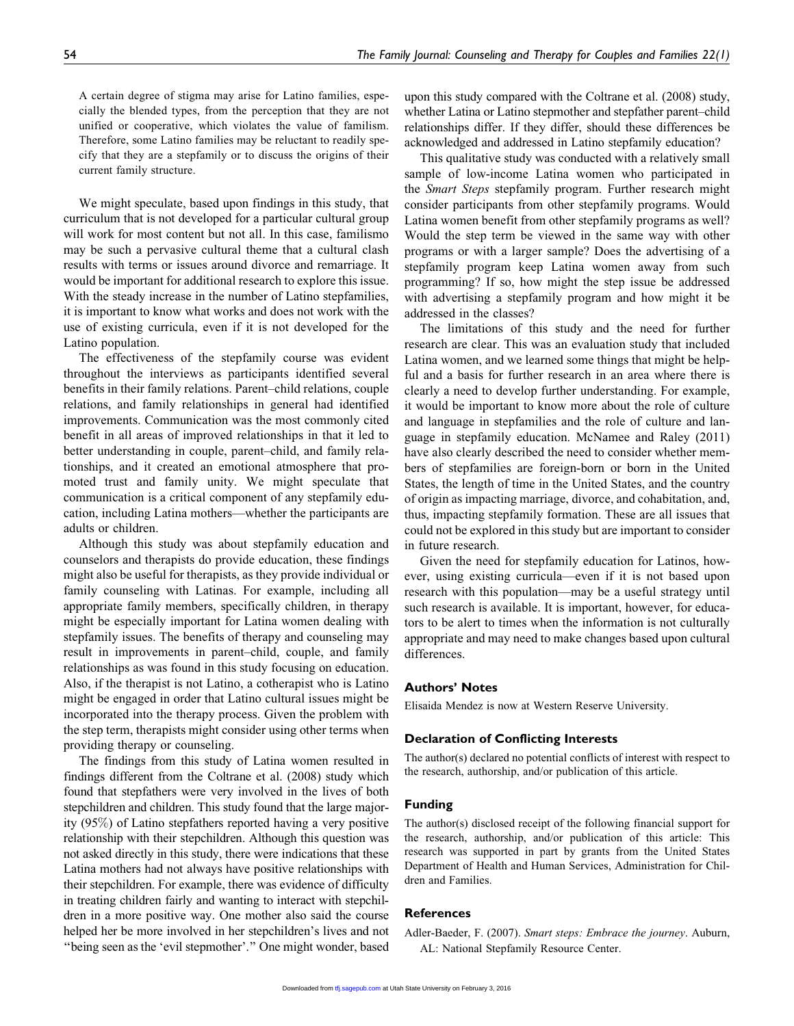A certain degree of stigma may arise for Latino families, especially the blended types, from the perception that they are not unified or cooperative, which violates the value of familism. Therefore, some Latino families may be reluctant to readily specify that they are a stepfamily or to discuss the origins of their current family structure.

We might speculate, based upon findings in this study, that curriculum that is not developed for a particular cultural group will work for most content but not all. In this case, familismo may be such a pervasive cultural theme that a cultural clash results with terms or issues around divorce and remarriage. It would be important for additional research to explore this issue. With the steady increase in the number of Latino stepfamilies, it is important to know what works and does not work with the use of existing curricula, even if it is not developed for the Latino population.

The effectiveness of the stepfamily course was evident throughout the interviews as participants identified several benefits in their family relations. Parent–child relations, couple relations, and family relationships in general had identified improvements. Communication was the most commonly cited benefit in all areas of improved relationships in that it led to better understanding in couple, parent–child, and family relationships, and it created an emotional atmosphere that promoted trust and family unity. We might speculate that communication is a critical component of any stepfamily education, including Latina mothers—whether the participants are adults or children.

Although this study was about stepfamily education and counselors and therapists do provide education, these findings might also be useful for therapists, as they provide individual or family counseling with Latinas. For example, including all appropriate family members, specifically children, in therapy might be especially important for Latina women dealing with stepfamily issues. The benefits of therapy and counseling may result in improvements in parent–child, couple, and family relationships as was found in this study focusing on education. Also, if the therapist is not Latino, a cotherapist who is Latino might be engaged in order that Latino cultural issues might be incorporated into the therapy process. Given the problem with the step term, therapists might consider using other terms when providing therapy or counseling.

The findings from this study of Latina women resulted in findings different from the Coltrane et al. (2008) study which found that stepfathers were very involved in the lives of both stepchildren and children. This study found that the large majority (95%) of Latino stepfathers reported having a very positive relationship with their stepchildren. Although this question was not asked directly in this study, there were indications that these Latina mothers had not always have positive relationships with their stepchildren. For example, there was evidence of difficulty in treating children fairly and wanting to interact with stepchildren in a more positive way. One mother also said the course helped her be more involved in her stepchildren's lives and not ''being seen as the 'evil stepmother'.'' One might wonder, based

upon this study compared with the Coltrane et al. (2008) study, whether Latina or Latino stepmother and stepfather parent–child relationships differ. If they differ, should these differences be acknowledged and addressed in Latino stepfamily education?

This qualitative study was conducted with a relatively small sample of low-income Latina women who participated in the Smart Steps stepfamily program. Further research might consider participants from other stepfamily programs. Would Latina women benefit from other stepfamily programs as well? Would the step term be viewed in the same way with other programs or with a larger sample? Does the advertising of a stepfamily program keep Latina women away from such programming? If so, how might the step issue be addressed with advertising a stepfamily program and how might it be addressed in the classes?

The limitations of this study and the need for further research are clear. This was an evaluation study that included Latina women, and we learned some things that might be helpful and a basis for further research in an area where there is clearly a need to develop further understanding. For example, it would be important to know more about the role of culture and language in stepfamilies and the role of culture and language in stepfamily education. McNamee and Raley (2011) have also clearly described the need to consider whether members of stepfamilies are foreign-born or born in the United States, the length of time in the United States, and the country of origin as impacting marriage, divorce, and cohabitation, and, thus, impacting stepfamily formation. These are all issues that could not be explored in this study but are important to consider in future research.

Given the need for stepfamily education for Latinos, however, using existing curricula—even if it is not based upon research with this population—may be a useful strategy until such research is available. It is important, however, for educators to be alert to times when the information is not culturally appropriate and may need to make changes based upon cultural differences.

### Authors' Notes

Elisaida Mendez is now at Western Reserve University.

#### Declaration of Conflicting Interests

The author(s) declared no potential conflicts of interest with respect to the research, authorship, and/or publication of this article.

#### Funding

The author(s) disclosed receipt of the following financial support for the research, authorship, and/or publication of this article: This research was supported in part by grants from the United States Department of Health and Human Services, Administration for Children and Families.

## **References**

Adler-Baeder, F. (2007). Smart steps: Embrace the journey. Auburn, AL: National Stepfamily Resource Center.